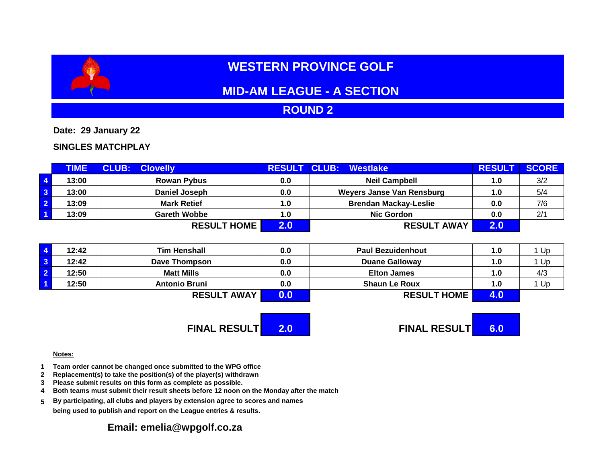# **WESTERN PROVINCE GOLF**

# **MID-AM LEAGUE - A SECTION**

## **ROUND 2**

**Date: 29 January 22**

### **SINGLES MATCHPLAY**

|                         | <b>TIME</b> | <b>CLUB:</b><br><b>Clovelly</b> | <b>RESULT</b> | <b>CLUB:</b><br>Westlake     | <b>RESUL</b> | <b>SCORE</b> |
|-------------------------|-------------|---------------------------------|---------------|------------------------------|--------------|--------------|
| $\sqrt{4}$              | 13:00       | <b>Rowan Pybus</b>              | 0.0           | <b>Neil Campbell</b>         | 1.0          | 3/2          |
| $\overline{\mathbf{3}}$ | 13:00       | Daniel Joseph                   | 0.0           | Weyers Janse Van Rensburg    | 1.0          | 5/4          |
| $\overline{2}$          | 13:09       | <b>Mark Retief</b>              | 1.0           | <b>Brendan Mackay-Leslie</b> | 0.0          | 7/6          |
| $\overline{1}$          | 13:09       | <b>Gareth Wobbe</b>             | 1.0           | <b>Nic Gordon</b>            | 0.0          | 2/1          |
|                         |             | <b>RESULT HOME</b>              | 2 U           | <b>RESULT AWAY</b>           | 2.0          |              |

| 12:42 | <b>Tim Henshall</b>  | 0.0 | <b>Paul Bezuidenhout</b> | 1.0 | Up  |
|-------|----------------------|-----|--------------------------|-----|-----|
| 12:42 | <b>Dave Thompson</b> | 0.0 | <b>Duane Galloway</b>    | 1.0 | Up  |
| 12:50 | <b>Matt Mills</b>    | 0.0 | <b>Elton James</b>       | 1.0 | 4/3 |
| 12:50 | <b>Antonio Bruni</b> | 0.0 | <b>Shaun Le Roux</b>     | 1.0 | Up  |
|       | <b>RESULT AWAY</b>   |     | <b>RESULT HOME</b>       |     |     |

**FINAL RESULT 2.0 FINAL RESULT 6.0**

#### **Notes:**

- **1 Team order cannot be changed once submitted to the WPG office**
- **2 Replacement(s) to take the position(s) of the player(s) withdrawn**
- **3 Please submit results on this form as complete as possible.**
- **4 Both teams must submit their result sheets before 12 noon on the Monday after the match**
- **5 By participating, all clubs and players by extension agree to scores and names being used to publish and report on the League entries & results.**

### **Email: emelia@wpgolf.co.za**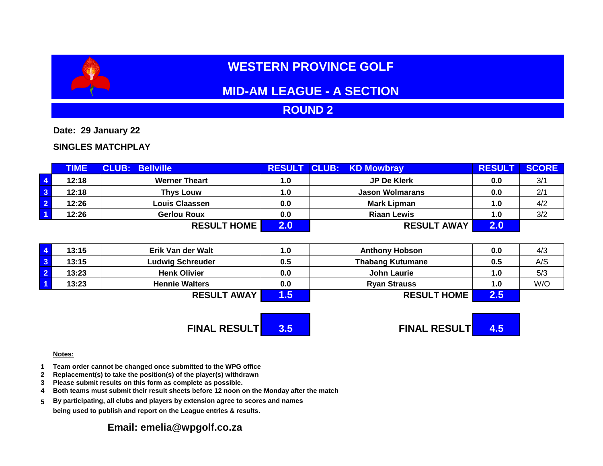# **WESTERN PROVINCE GOLF**

# **MID-AM LEAGUE - A SECTION**

## **ROUND 2**

**Date: 29 January 22**

### **SINGLES MATCHPLAY**

|                         | <b>TIME</b> | <b>CLUB: Bellville</b> |     | <b>RESULT CLUB: KD Mowbray</b> | <b>RESULT</b> | <b>SCORE</b> |
|-------------------------|-------------|------------------------|-----|--------------------------------|---------------|--------------|
| $\overline{4}$          | 12:18       | <b>Werner Theart</b>   | 1.0 | <b>JP De Klerk</b>             | 0.0           | 3/1          |
| $\overline{\mathbf{3}}$ | 12:18       | <b>Thys Louw</b>       | 1.0 | <b>Jason Wolmarans</b>         | 0.0           | 2/1          |
| $\overline{2}$          | 12:26       | Louis Claassen         | 0.0 | Mark Lipman                    | 1.0           | 4/2          |
| $\overline{1}$          | 12:26       | <b>Gerlou Roux</b>     | 0.0 | <b>Riaan Lewis</b>             | 1.0           | 3/2          |
|                         |             | <b>RESULT HOME</b>     |     | <b>RESULT AWAY</b>             | 2.0           |              |

| 13:15 | Erik Van der Walt       | 1.0 | <b>Anthony Hobson</b>   | 0.0 | 4/3 |
|-------|-------------------------|-----|-------------------------|-----|-----|
| 13:15 | <b>Ludwig Schreuder</b> | 0.5 | <b>Thabang Kutumane</b> | 0.5 | A/S |
| 13:23 | <b>Henk Olivier</b>     | 0.0 | John Laurie             | 1.0 | 5/3 |
| 13:23 | <b>Hennie Walters</b>   | 0.0 | <b>Ryan Strauss</b>     | 1.0 | W/O |
|       | <b>RESULT AWAY</b>      | .5  | <b>RESULT HOME</b>      | 2.5 |     |

**FINAL RESULT 3.5 FINAL RESULT 4.5**

#### **Notes:**

- **1 Team order cannot be changed once submitted to the WPG office**
- **2 Replacement(s) to take the position(s) of the player(s) withdrawn**
- **3 Please submit results on this form as complete as possible.**
- **4 Both teams must submit their result sheets before 12 noon on the Monday after the match**
- **5 By participating, all clubs and players by extension agree to scores and names being used to publish and report on the League entries & results.**

### **Email: emelia@wpgolf.co.za**